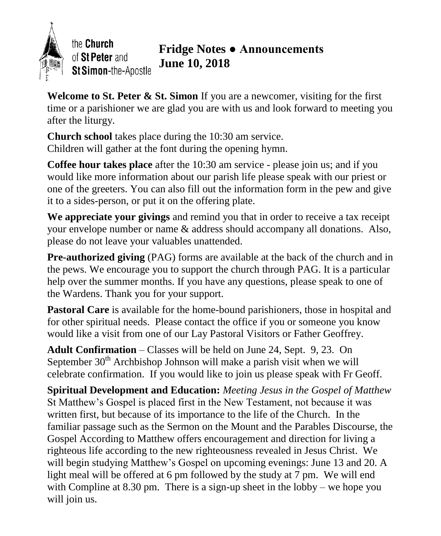

the Church of St Peter and St Simon-the-Apostle

### **Fridge Notes ● Announcements June 10, 2018**

**Welcome to St. Peter & St. Simon** If you are a newcomer, visiting for the first time or a parishioner we are glad you are with us and look forward to meeting you after the liturgy.

**Church school** takes place during the 10:30 am service. Children will gather at the font during the opening hymn.

**Coffee hour takes place** after the 10:30 am service - please join us; and if you would like more information about our parish life please speak with our priest or one of the greeters. You can also fill out the information form in the pew and give it to a sides-person, or put it on the offering plate.

**We appreciate your givings** and remind you that in order to receive a tax receipt your envelope number or name & address should accompany all donations. Also, please do not leave your valuables unattended.

**Pre-authorized giving** (PAG) forms are available at the back of the church and in the pews. We encourage you to support the church through PAG. It is a particular help over the summer months. If you have any questions, please speak to one of the Wardens. Thank you for your support.

Pastoral Care is available for the home-bound parishioners, those in hospital and for other spiritual needs. Please contact the office if you or someone you know would like a visit from one of our Lay Pastoral Visitors or Father Geoffrey.

**Adult Confirmation** – Classes will be held on June 24, Sept. 9, 23. On September  $30<sup>th</sup>$  Archbishop Johnson will make a parish visit when we will celebrate confirmation. If you would like to join us please speak with Fr Geoff.

**Spiritual Development and Education:** *Meeting Jesus in the Gospel of Matthew* St Matthew's Gospel is placed first in the New Testament, not because it was written first, but because of its importance to the life of the Church. In the familiar passage such as the Sermon on the Mount and the Parables Discourse, the Gospel According to Matthew offers encouragement and direction for living a righteous life according to the new righteousness revealed in Jesus Christ. We will begin studying Matthew's Gospel on upcoming evenings: June 13 and 20. A light meal will be offered at 6 pm followed by the study at 7 pm. We will end with Compline at 8.30 pm. There is a sign-up sheet in the lobby – we hope you will join us.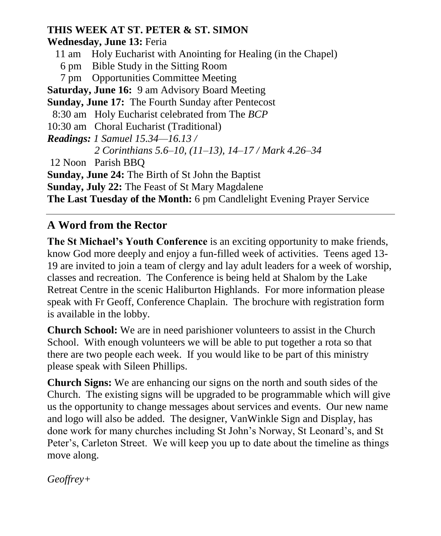### **THIS WEEK AT ST. PETER & ST. SIMON**

**Wednesday, June 13:** Feria

- 11 am Holy Eucharist with Anointing for Healing (in the Chapel)
- 6 pm Bible Study in the Sitting Room
- 7 pm Opportunities Committee Meeting

**Saturday, June 16:** 9 am Advisory Board Meeting

**Sunday, June 17:** The Fourth Sunday after Pentecost

```
 8:30 am Holy Eucharist celebrated from The BCP
```

```
10:30 am Choral Eucharist (Traditional)
```
*Readings: 1 Samuel 15.34—16.13 /* 

```
2 Corinthians 5.6–10, (11–13), 14–17 / Mark 4.26–34
```
12 Noon Parish BBQ

**Sunday, June 24:** The Birth of St John the Baptist

**Sunday, July 22:** The Feast of St Mary Magdalene

**The Last Tuesday of the Month:** 6 pm Candlelight Evening Prayer Service

## **A Word from the Rector**

**The St Michael's Youth Conference** is an exciting opportunity to make friends, know God more deeply and enjoy a fun-filled week of activities. Teens aged 13- 19 are invited to join a team of clergy and lay adult leaders for a week of worship, classes and recreation. The Conference is being held at Shalom by the Lake Retreat Centre in the scenic Haliburton Highlands. For more information please speak with Fr Geoff, Conference Chaplain. The brochure with registration form is available in the lobby.

**Church School:** We are in need parishioner volunteers to assist in the Church School. With enough volunteers we will be able to put together a rota so that there are two people each week. If you would like to be part of this ministry please speak with Sileen Phillips.

**Church Signs:** We are enhancing our signs on the north and south sides of the Church. The existing signs will be upgraded to be programmable which will give us the opportunity to change messages about services and events. Our new name and logo will also be added. The designer, VanWinkle Sign and Display, has done work for many churches including St John's Norway, St Leonard's, and St Peter's, Carleton Street. We will keep you up to date about the timeline as things move along.

*Geoffrey+*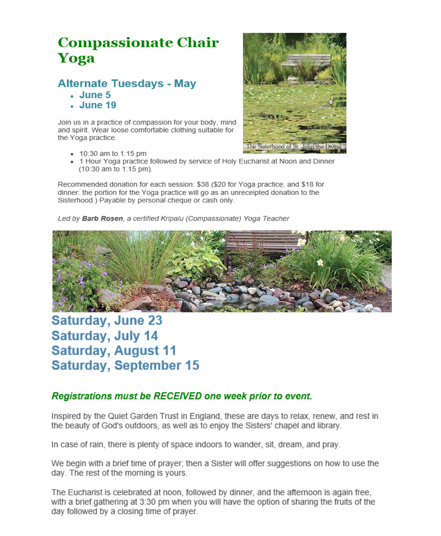# **Compassionate Chair** Yoga

### **Alternate Tuesdays - May**

- $\cdot$  June 5
- . June 19

Join us in a practice of compassion for your body, mind and spirit. Wear loose comfortable clothing suitable for the Yoga practice.

- 10:30 am to 1:15 pm
- 1 Hour Yoga practice followed by service of Holy Eucharist at Noon and Dinner (10:30 am to 1:15 pm).

Recommended donation for each session: \$38 (\$20 for Yoga practice, and \$18 for dinner: the portion for the Yoga practice will go as an unreceipted donation to the Sisterhood.) Payable by personal cheque or cash only.

Led by Barb Rosen, a certified Kripalu (Compassionate) Yoga Teacher



## **Saturday, June 23 Saturday, July 14 Saturday, August 11 Saturday, September 15**

#### Registrations must be RECEIVED one week prior to event.

Inspired by the Quiet Garden Trust in England, these are days to relax, renew, and rest in the beauty of God's outdoors, as well as to enjoy the Sisters' chapel and library.

In case of rain, there is plenty of space indoors to wander, sit, dream, and pray.

We begin with a brief time of prayer; then a Sister will offer suggestions on how to use the day. The rest of the morning is yours.

The Eucharist is celebrated at noon, followed by dinner, and the afternoon is again free. with a brief gathering at 3:30 pm when you will have the option of sharing the fruits of the day followed by a closing time of prayer.